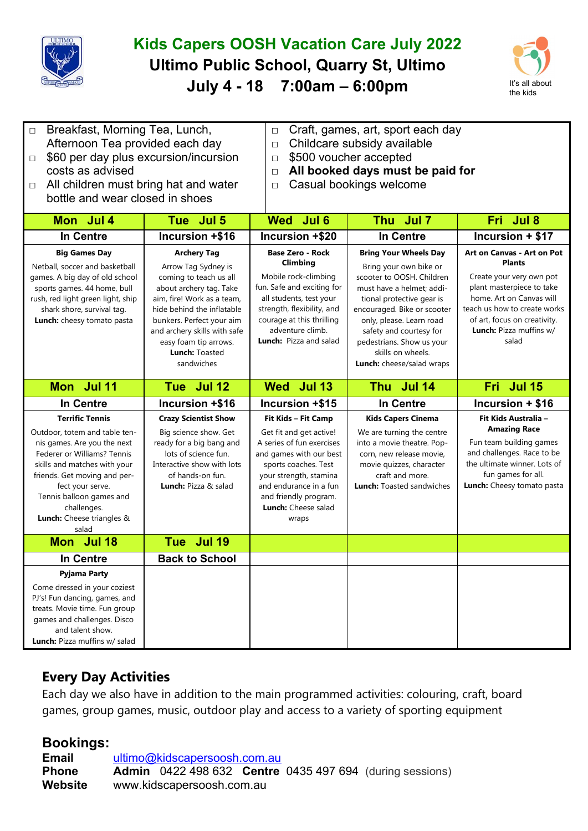

## **Kids Capers OOSH Vacation Care July 2022 Ultimo Public School, Quarry St, Ultimo July 4 - 18 7:00am – 6:00pm** It's all about



| Breakfast, Morning Tea, Lunch,<br>$\Box$<br>Afternoon Tea provided each day<br>\$60 per day plus excursion/incursion<br>$\Box$<br>costs as advised<br>All children must bring hat and water<br>$\Box$<br>bottle and wear closed in shoes                                                   |                                                                                                                                                                                                                                                                                         | Craft, games, art, sport each day<br>$\Box$<br>Childcare subsidy available<br>$\Box$<br>\$500 voucher accepted<br>$\Box$<br>All booked days must be paid for<br>$\Box$<br>Casual bookings welcome<br>$\Box$                                 |                                                                                                                                                                                                                                                                                                                    |                                                                                                                                                                                                                                      |  |
|--------------------------------------------------------------------------------------------------------------------------------------------------------------------------------------------------------------------------------------------------------------------------------------------|-----------------------------------------------------------------------------------------------------------------------------------------------------------------------------------------------------------------------------------------------------------------------------------------|---------------------------------------------------------------------------------------------------------------------------------------------------------------------------------------------------------------------------------------------|--------------------------------------------------------------------------------------------------------------------------------------------------------------------------------------------------------------------------------------------------------------------------------------------------------------------|--------------------------------------------------------------------------------------------------------------------------------------------------------------------------------------------------------------------------------------|--|
| Mon Jul 4                                                                                                                                                                                                                                                                                  | Tue Jul 5                                                                                                                                                                                                                                                                               | Jul <sub>6</sub><br><b>Wed</b>                                                                                                                                                                                                              | Thu Jul 7                                                                                                                                                                                                                                                                                                          | Fri Jul 8                                                                                                                                                                                                                            |  |
| <b>In Centre</b>                                                                                                                                                                                                                                                                           | Incursion +\$16                                                                                                                                                                                                                                                                         | Incursion +\$20                                                                                                                                                                                                                             | <b>In Centre</b>                                                                                                                                                                                                                                                                                                   | Incursion + \$17                                                                                                                                                                                                                     |  |
| <b>Big Games Day</b><br>Netball, soccer and basketball<br>games. A big day of old school<br>sports games. 44 home, bull<br>rush, red light green light, ship<br>shark shore, survival tag.<br>Lunch: cheesy tomato pasta                                                                   | <b>Archery Tag</b><br>Arrow Tag Sydney is<br>coming to teach us all<br>about archery tag. Take<br>aim, fire! Work as a team,<br>hide behind the inflatable<br>bunkers. Perfect your aim<br>and archery skills with safe<br>easy foam tip arrows.<br><b>Lunch: Toasted</b><br>sandwiches | <b>Base Zero - Rock</b><br>Climbing<br>Mobile rock-climbing<br>fun. Safe and exciting for<br>all students, test your<br>strength, flexibility, and<br>courage at this thrilling<br>adventure climb.<br>Lunch: Pizza and salad               | <b>Bring Your Wheels Day</b><br>Bring your own bike or<br>scooter to OOSH. Children<br>must have a helmet; addi-<br>tional protective gear is<br>encouraged. Bike or scooter<br>only, please. Learn road<br>safety and courtesy for<br>pedestrians. Show us your<br>skills on wheels.<br>Lunch: cheese/salad wraps | Art on Canvas - Art on Pot<br><b>Plants</b><br>Create your very own pot<br>plant masterpiece to take<br>home. Art on Canvas will<br>teach us how to create works<br>of art, focus on creativity.<br>Lunch: Pizza muffins w/<br>salad |  |
|                                                                                                                                                                                                                                                                                            |                                                                                                                                                                                                                                                                                         |                                                                                                                                                                                                                                             |                                                                                                                                                                                                                                                                                                                    |                                                                                                                                                                                                                                      |  |
| Mon Jul 11                                                                                                                                                                                                                                                                                 | Tue Jul 12                                                                                                                                                                                                                                                                              | Wed Jul 13                                                                                                                                                                                                                                  | Thu Jul 14                                                                                                                                                                                                                                                                                                         | Fri Jul 15                                                                                                                                                                                                                           |  |
| <b>In Centre</b>                                                                                                                                                                                                                                                                           | Incursion +\$16                                                                                                                                                                                                                                                                         | Incursion +\$15                                                                                                                                                                                                                             | <b>In Centre</b>                                                                                                                                                                                                                                                                                                   | Incursion + \$16                                                                                                                                                                                                                     |  |
| <b>Terrific Tennis</b><br>Outdoor, totem and table ten-<br>nis games. Are you the next<br>Federer or Williams? Tennis<br>skills and matches with your<br>friends. Get moving and per-<br>fect your serve.<br>Tennis balloon games and<br>challenges.<br>Lunch: Cheese triangles &<br>salad | <b>Crazy Scientist Show</b><br>Big science show. Get<br>ready for a big bang and<br>lots of science fun.<br>Interactive show with lots<br>of hands-on fun.<br><b>Lunch:</b> Pizza & salad                                                                                               | Fit Kids - Fit Camp<br>Get fit and get active!<br>A series of fun exercises<br>and games with our best<br>sports coaches. Test<br>your strength, stamina<br>and endurance in a fun<br>and friendly program.<br>Lunch: Cheese salad<br>wraps | <b>Kids Capers Cinema</b><br>We are turning the centre<br>into a movie theatre. Pop-<br>corn, new release movie,<br>movie quizzes, character<br>craft and more.<br><b>Lunch:</b> Toasted sandwiches                                                                                                                | Fit Kids Australia -<br><b>Amazing Race</b><br>Fun team building games<br>and challenges. Race to be<br>the ultimate winner. Lots of<br>fun games for all.<br>Lunch: Cheesy tomato pasta                                             |  |
| Mon Jul 18                                                                                                                                                                                                                                                                                 | Tue Jul 19                                                                                                                                                                                                                                                                              |                                                                                                                                                                                                                                             |                                                                                                                                                                                                                                                                                                                    |                                                                                                                                                                                                                                      |  |
| In Centre<br><b>Pyjama Party</b>                                                                                                                                                                                                                                                           | <b>Back to School</b>                                                                                                                                                                                                                                                                   |                                                                                                                                                                                                                                             |                                                                                                                                                                                                                                                                                                                    |                                                                                                                                                                                                                                      |  |

## **Every Day Activities**

Each day we also have in addition to the main programmed activities: colouring, craft, board games, group games, music, outdoor play and access to a variety of sporting equipment

## **Bookings:**

**Email** [ultimo@kidscapersoosh.com.au](mailto:dulwich@kidscapersoosh.com.au) **Phone Admin** 0422 498 632 **Centre** 0435 497 694 (during sessions) **Website** www.kidscapersoosh.com.au